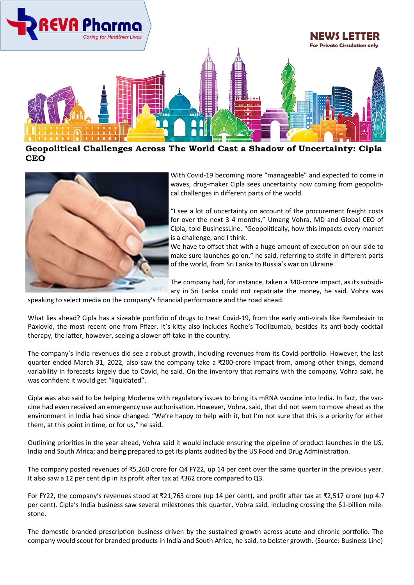

**Geopolitical Challenges Across The World Cast a Shadow of Uncertainty: Cipla CEO** 



With Covid-19 becoming more "manageable" and expected to come in waves, drug-maker Cipla sees uncertainty now coming from geopolitical challenges in different parts of the world.

"I see a lot of uncertainty on account of the procurement freight costs for over the next 3-4 months," Umang Vohra, MD and Global CEO of Cipla, told BusinessLine. "Geopolitically, how this impacts every market is a challenge, and I think.

We have to offset that with a huge amount of execution on our side to make sure launches go on," he said, referring to strife in different parts of the world, from Sri Lanka to Russia's war on Ukraine.

The company had, for instance, taken a ₹40-crore impact, as its subsidiary in Sri Lanka could not repatriate the money, he said. Vohra was

speaking to select media on the company's financial performance and the road ahead.

What lies ahead? Cipla has a sizeable portfolio of drugs to treat Covid-19, from the early anti-virals like Remdesivir to Paxlovid, the most recent one from Pfizer. It's kitty also includes Roche's Tocilizumab, besides its anti-body cocktail therapy, the latter, however, seeing a slower off-take in the country.

The company's India revenues did see a robust growth, including revenues from its Covid portfolio. However, the last quarter ended March 31, 2022, also saw the company take a ₹200-crore impact from, among other things, demand variability in forecasts largely due to Covid, he said. On the inventory that remains with the company, Vohra said, he was confident it would get "liquidated".

Cipla was also said to be helping Moderna with regulatory issues to bring its mRNA vaccine into India. In fact, the vaccine had even received an emergency use authorisation. However, Vohra, said, that did not seem to move ahead as the environment in India had since changed. "We're happy to help with it, but I'm not sure that this is a priority for either them, at this point in time, or for us," he said.

Outlining priorities in the year ahead, Vohra said it would include ensuring the pipeline of product launches in the US, India and South Africa; and being prepared to get its plants audited by the US Food and Drug Administration.

The company posted revenues of ₹5,260 crore for Q4 FY22, up 14 per cent over the same quarter in the previous year. It also saw a 12 per cent dip in its profit after tax at ₹362 crore compared to Q3.

For FY22, the company's revenues stood at ₹21,763 crore (up 14 per cent), and profit after tax at ₹2,517 crore (up 4.7 per cent). Cipla's India business saw several milestones this quarter, Vohra said, including crossing the \$1-billion milestone.

The domestic branded prescription business driven by the sustained growth across acute and chronic portfolio. The company would scout for branded products in India and South Africa, he said, to bolster growth. (Source: Business Line)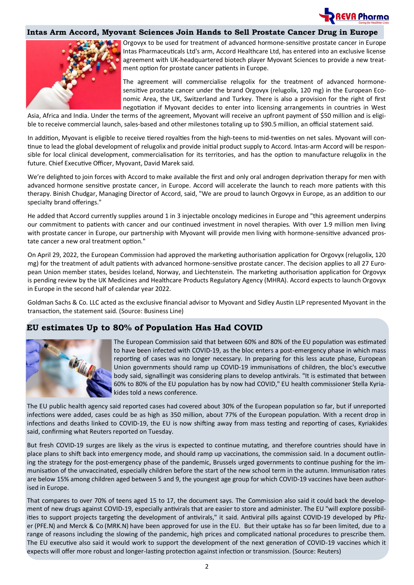

### **Intas Arm Accord, Myovant Sciences Join Hands to Sell Prostate Cancer Drug in Europe**



Orgovyx to be used for treatment of advanced hormone-sensitive prostate cancer in Europe Intas Pharmaceuticals Ltd's arm, Accord Healthcare Ltd, has entered into an exclusive license agreement with UK-headquartered biotech player Myovant Sciences to provide a new treatment option for prostate cancer patients in Europe.

The agreement will commercialise relugolix for the treatment of advanced hormonesensitive prostate cancer under the brand Orgovyx (relugolix, 120 mg) in the European Economic Area, the UK, Switzerland and Turkey. There is also a provision for the right of first negotiation if Myovant decides to enter into licensing arrangements in countries in West

Asia, Africa and India. Under the terms of the agreement, Myovant will receive an upfront payment of \$50 million and is eligible to receive commercial launch, sales-based and other milestones totaling up to \$90.5 million, an official statement said.

In addition, Myovant is eligible to receive tiered royalties from the high-teens to mid-twenties on net sales. Myovant will continue to lead the global development of relugolix and provide initial product supply to Accord. Intas-arm Accord will be responsible for local clinical development, commercialisation for its territories, and has the option to manufacture relugolix in the future. Chief Executive Officer, Myovant, David Marek said.

We're delighted to join forces with Accord to make available the first and only oral androgen deprivation therapy for men with advanced hormone sensitive prostate cancer, in Europe. Accord will accelerate the launch to reach more patients with this therapy. Binish Chudgar, Managing Director of Accord, said, "We are proud to launch Orgovyx in Europe, as an addition to our specialty brand offerings."

He added that Accord currently supplies around 1 in 3 injectable oncology medicines in Europe and "this agreement underpins our commitment to patients with cancer and our continued investment in novel therapies. With over 1.9 million men living with prostate cancer in Europe, our partnership with Myovant will provide men living with hormone-sensitive advanced prostate cancer a new oral treatment option."

On April 29, 2022, the European Commission had approved the marketing authorisation application for Orgovyx (relugolix, 120 mg) for the treatment of adult patients with advanced hormone-sensitive prostate cancer. The decision applies to all 27 European Union member states, besides Iceland, Norway, and Liechtenstein. The marketing authorisation application for Orgovyx is pending review by the UK Medicines and Healthcare Products Regulatory Agency (MHRA). Accord expects to launch Orgovyx in Europe in the second half of calendar year 2022.

Goldman Sachs & Co. LLC acted as the exclusive financial advisor to Myovant and Sidley Austin LLP represented Myovant in the transaction, the statement said. (Source: Business Line)

# **EU estimates Up to 80% of Population Has Had COVID**



The European Commission said that between 60% and 80% of the EU population was estimated to have been infected with COVID-19, as the bloc enters a post-emergency phase in which mass reporting of cases was no longer necessary. In preparing for this less acute phase, European Union governments should ramp up COVID-19 immunisations of children, the bloc's executive body said, signallingit was considering plans to develop antivirals. "It is estimated that between 60% to 80% of the EU population has by now had COVID," EU health commissioner Stella Kyriakides told a news conference.

The EU public health agency said reported cases had covered about 30% of the European population so far, but if unreported infections were added, cases could be as high as 350 million, about 77% of the European population. With a recent drop in infections and deaths linked to COVID-19, the EU is now shifting away from mass testing and reporting of cases, Kyriakides said, confirming what Reuters reported on Tuesday.

But fresh COVID-19 surges are likely as the virus is expected to continue mutating, and therefore countries should have in place plans to shift back into emergency mode, and should ramp up vaccinations, the commission said. In a document outlining the strategy for the post-emergency phase of the pandemic, Brussels urged governments to continue pushing for the immunisation of the unvaccinated, especially children before the start of the new school term in the autumn. Immunisation rates are below 15% among children aged between 5 and 9, the youngest age group for which COVID-19 vaccines have been authorised in Europe.

That compares to over 70% of teens aged 15 to 17, the document says. The Commission also said it could back the development of new drugs against COVID-19, especially antivirals that are easier to store and administer. The EU "will explore possibilities to support projects targeting the development of antivirals," it said. Antiviral pills against COVID-19 developed by Pfizer [\(PFE.N\)](https://www.reuters.com/companies/PFE.N) and Merck & Co [\(MRK.N\)](https://www.reuters.com/companies/MRK.N) have been approved for use in the EU. But their uptake has so far been limited, due to a range of reasons including the slowing of the pandemic, high prices and complicated national procedures to prescribe them. The EU executive also said it would work to support the development of the next generation of COVID-19 vaccines which it expects will offer more robust and longer-lasting protection against infection or transmission. (Source: Reuters)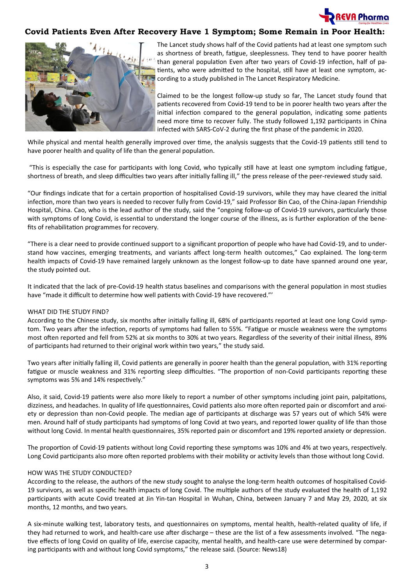

## **Covid Patients Even After Recovery Have 1 Symptom; Some Remain in Poor Health:**



The Lancet study shows half of the Covid patients had at least one symptom such as shortness of breath, fatigue, sleeplessness. They tend to have poorer health than general population Even after two years of Covid-19 infection, half of patients, who were admitted to the hospital, still have at least one symptom, according to a study published in The Lancet Respiratory Medicine.

Claimed to be the longest follow-up study so far, The Lancet study found that patients recovered from Covid-19 tend to be in poorer health two years after the initial infection compared to the general population, indicating some patients need more time to recover fully. The study followed 1,192 participants in China infected with SARS-CoV-2 during the first phase of the pandemic in 2020.

While physical and mental health generally improved over time, the analysis suggests that the Covid-19 patients still tend to have poorer health and quality of life than the general population.

"This is especially the case for participants with long Covid, who typically still have at least one symptom including fatigue, shortness of breath, and sleep difficulties two years after initially falling ill," the press release of the peer-reviewed study said.

"Our findings indicate that for a certain proportion of hospitalised Covid-19 survivors, while they may have cleared the initial infection, more than two years is needed to recover fully from Covid-19," said Professor Bin Cao, of the China-Japan Friendship Hospital, China. Cao, who is the lead author of the study, said the "ongoing follow-up of Covid-19 survivors, particularly those with symptoms of long Covid, is essential to understand the longer course of the illness, as is further exploration of the benefits of rehabilitation programmes for recovery.

"There is a clear need to provide continued support to a significant proportion of people who have had Covid-19, and to understand how vaccines, emerging treatments, and variants affect long-term health outcomes," Cao explained. The long-term health impacts of Covid-19 have remained largely unknown as the longest follow-up to date have spanned around one year, the study pointed out.

It indicated that the lack of pre-Covid-19 health status baselines and comparisons with the general population in most studies have "made it difficult to determine how well patients with Covid-19 have recovered."'

#### WHAT DID THE STUDY FIND?

According to the Chinese study, six months after initially falling ill, 68% of participants reported at least one long Covid symptom. Two years after the infection, reports of symptoms had fallen to 55%. "Fatigue or muscle weakness were the symptoms most often reported and fell from 52% at six months to 30% at two years. Regardless of the severity of their initial illness, 89% of participants had returned to their original work within two years," the study said.

Two years after initially falling ill, Covid patients are generally in poorer health than the general population, with 31% reporting fatigue or muscle weakness and 31% reporting sleep difficulties. "The proportion of non-Covid participants reporting these symptoms was 5% and 14% respectively."

Also, it said, Covid-19 patients were also more likely to report a number of other symptoms including joint pain, palpitations, dizziness, and headaches. In quality of life questionnaires, Covid patients also more often reported pain or discomfort and anxiety or depression than non-Covid people. The median age of participants at discharge was 57 years out of which 54% were men. Around half of study participants had symptoms of long Covid at two years, and reported lower quality of life than those without long Covid. In mental health questionnaires, 35% reported pain or discomfort and 19% reported anxiety or depression.

The proportion of Covid-19 patients without long Covid reporting these symptoms was 10% and 4% at two years, respectively. Long Covid participants also more often reported problems with their mobility or activity levels than those without long Covid.

#### HOW WAS THE STUDY CONDUCTED?

According to the release, the authors of the new study sought to analyse the long-term health outcomes of hospitalised Covid-19 survivors, as well as specific health impacts of long Covid. The multiple authors of the study evaluated the health of 1,192 participants with acute Covid treated at Jin Yin-tan Hospital in Wuhan, China, between January 7 and May 29, 2020, at six months, 12 months, and two years.

A six-minute walking test, laboratory tests, and questionnaires on symptoms, mental health, health-related quality of life, if they had returned to work, and health-care use after discharge – these are the list of a few assessments involved. "The negative effects of long Covid on quality of life, exercise capacity, mental health, and health-care use were determined by comparing participants with and without long Covid symptoms," the release said. (Source: News18)